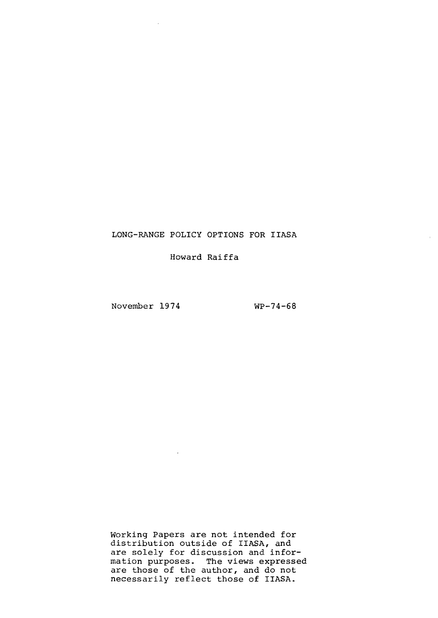## LONG-RANGE POLICY OPTIONS FOR IIASA

Howard Raiffa

November 1974 WP-74-68

l.

Working Papers are not intended for distribution outside of IIASA, and are solely for discussion and information purposes. The views expressed are those of the author, and do not necessarily reflect those of IIASA.

 $\ddot{\phantom{a}}$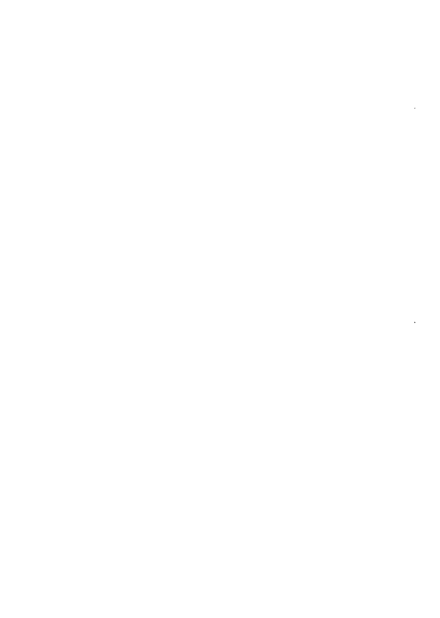$\epsilon$  $\star$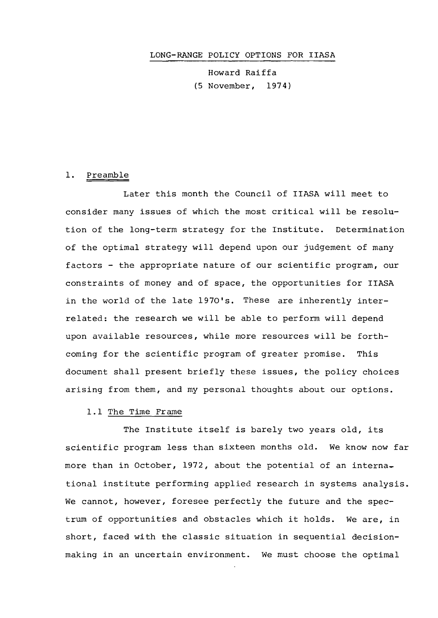#### LONG-RANGE POLICY OPTIONS FOR IIASA

Howard Raiffa (5 November, 1974)

### 1. Preamble

Later this month the Council of IIASA will meet to consider many issues of which the most critical will be resolution of the long-term strategy for the Institute. Determination of the optimal strategy will depend upon our judgement of many factors - the appropriate nature of our scientific program, our constraints of money and of space, the opportunities for IIASA in the world of the late 1970's. These are inherently interrelated: the research we will be able to perform will depend upon available resources, while more resources will be forthcoming for the scientific program of greater promise. This document shall present briefly these issues, the policy choices arising from them, and my personal thoughts about our options.

## 1.1 The Time Frame

The Institute itself is barely two years old, its scientific program less than sixteen months old. We know now far more than in October, 1972, about the potential of an interna\_ tional institute performing applied research in systems analysis. We cannot, however, foresee perfectly the future and the spectrum of opportunities and obstacles which it holds. We are, in short, faced with the classic situation in sequential decisionmaking in an uncertain environment. We must choose the optimal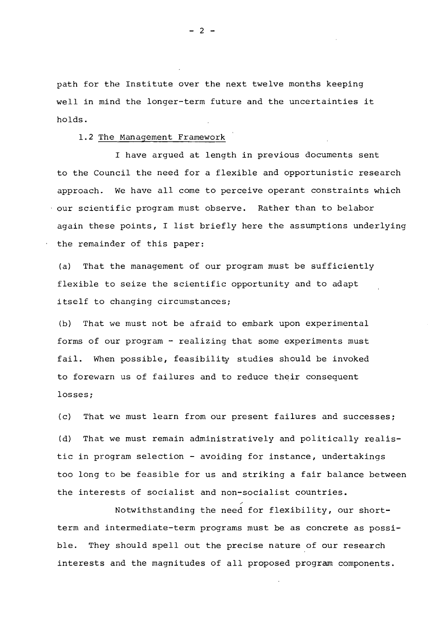path for the Institute over the next twelve months keeping well in mind the longer-term future and the uncertainties it holds.

## 1.2 The Management Framework

I have argued at length in previous documents sent to the Council the need for a flexible and opportunistic research approach. We have all come to perceive operant constraints which our scientific program must observe. Rather than to belabor again these points, <sup>I</sup> list briefly here the assumptions underlying the remainder of this paper:

(a) That the management of our program must be sufficiently flexible to seize the scientific opportunity and to adapt itself to changing circumstances;

(b) That we must not be afraid to embark upon experimental forms of our program - realizing that some experiments must fail. When possible, feasibility studies should be invoked to forewarn us of failures and to reduce their consequent losses;

(c) That we must learn from our present failures and successes; (d) That we must remain administratively and politically realistic in program selection - avoiding for instance, undertakings too long to be feasible for us and striking <sup>a</sup> fair balance between the interests of socialist and non-socialist countries.

Notwithstanding the need for flexibility, our shortterm and intermediate-term programs must be as concrete as possible. They should spell out the precise nature of our research interests and the magnitudes of all proposed program components.

- 2 -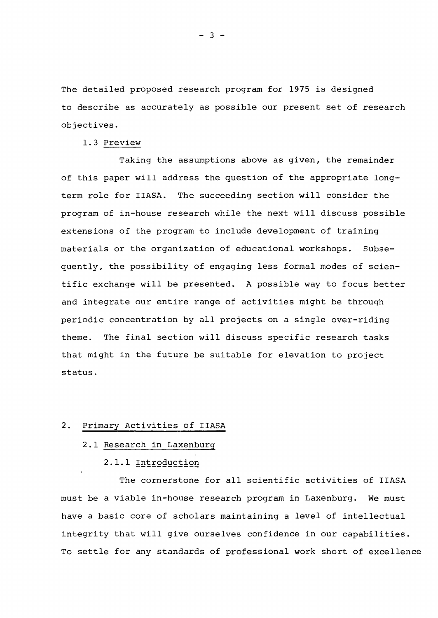The detailed proposed research program for 1975 is designed to describe as accurately as possible our present set of research objectives.

## 1.3 Preview

Taking the assumptions above as given, the remainder of this paper will address the question of the appropriate longterm role for IIASA. The succeeding section will consider the program of in-house research while the next will discuss possible extensions of the program to include development of training materials or the organization of educational workshops. Subsequently, the possibility of engaging less formal modes of scientific exchange will be presented. <sup>A</sup> possible way to focus better and integrate our entire range of activities might be through periodic concentration by all projects on <sup>a</sup> single over-riding theme. The final section will discuss specific research tasks that might in the future be suitable for elevation to project status.

## 2. Primary Activities of IIASA

- 2.1 Research in Laxenburg
	- 2.1.1 Introduction **------------**

The cornerstone for all scientific activities of IIASA must be a viable in-house research program in Laxenburg. We must have <sup>a</sup> basic core of scholars maintaining <sup>a</sup> level of intellectual integrity that will give ourselves confidence in our capabilities. To settle for any standards of professional work short of excellence

 $- 3 -$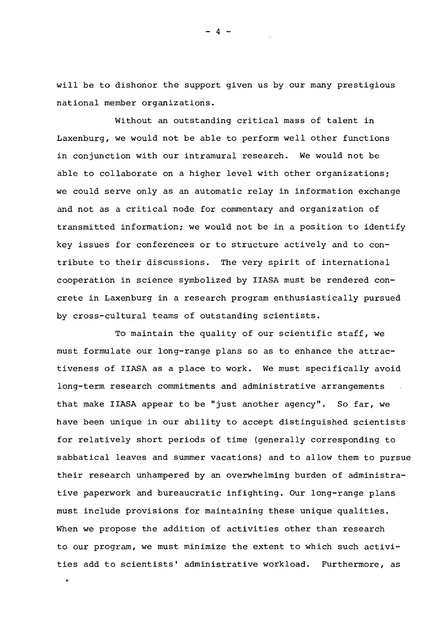will be to dishonor the support given us by our many prestigious national member organizations.

Without an outstanding critical mass of talent in Laxenburg, we would not be able to perform well other functions in conjunction with our intramural research. We would not be able to collaborate on a higher level with other organizations; we could serve only as an automatic relay in information exchange and not as <sup>a</sup> critical node for commentary and organization of transmitted information; we would not be in <sup>a</sup> position to identify key issues for conferences or to structure actively and to contribute to their discussions. The very spirit of international cooperation in science symbolized by IIASA must be rendered concrete in Laxenburg in <sup>a</sup> research program enthusiastically pursued by cross-cultural teams of outstanding scientists.

To maintain the quality of our scientific staff, we must formulate our long-range plans so as to enhance the attractiveness of IIASA as <sup>a</sup> place to work. We must specifically avoid long-term research commitments and administrative arrangements that make IIASA appear to be "just another agency". So far, we have been unique in our ability to accept distinguished scientists for relatively short periods of time (generally corresponding to sabbatical leaves and summer vacations) and to allow them to pursue their research unhampered by an overwhelming burden of administrative paperwork and bureaucratic infighting. Our long-range plans must include provisions for maintaining these unique qualities. When we propose the addition of activities other than research to our program, we must minimize the extent to which such activities add to scientists' administrative workload. Furthermore, as

- 4 -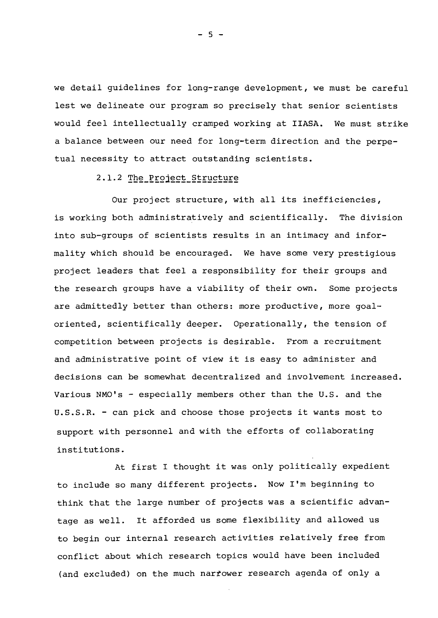we detail guidelines for long-range development, we must be careful lest we delineate our program so precisely that senior scientists would feel intellectually cramped working at IIASA. We must strike <sup>a</sup> balance between our need for long-term direction and the perpetual necessity to attract outstanding scientists.

## 2.1.2 The Project Structure

Our project structure, with all its inefficiencies, is working both administratively and scientifically. The division into sub-groups of scientists results in an intimacy and informality which should be encouraged. We have some very prestigious project leaders that feel <sup>a</sup> responsibility for their groups and the research groups have <sup>a</sup> viability of their own. Some projects are admittedly better than others: more productive, more goaloriented, scientifically deeper. Operationally, the tension of competition between projects is desirable. From <sup>a</sup> recruitment and administrative point of view it is easy to administer and decisions can be somewhat decentralized and involvement increased. Various NMO's - especially members other than the U.S. and the U.S.S.R. - can pick and choose those projects it wants most to support with personnel and with the efforts of collaborating institutions.

At first <sup>I</sup> thought it was only politically expedient to include so many different projects. Now I'm beginning to think that the large number of projects was <sup>a</sup> scientific advantage as well. It afforded us some flexibility and allowed us to begin our internal research activities relatively free from conflict about which research topics would have been included (and excluded) on the much nartower research agenda of only a

- 5 -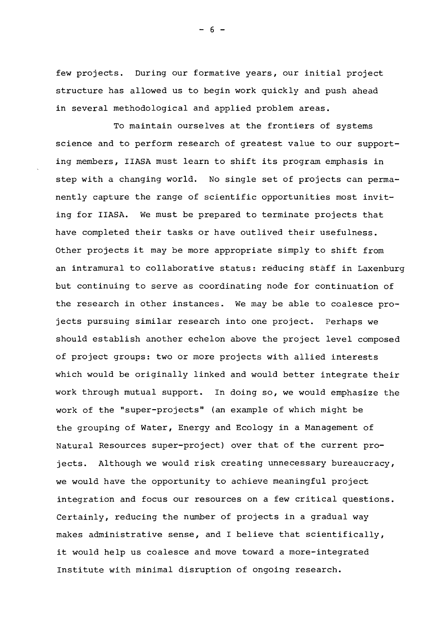few projects. During our formative years, our initial project structure has allowed us to begin work quickly and push ahead in several methodological and applied problem areas.

To maintain ourselves at the frontiers of systems science and to perform research of greatest value to our supporting members, IIASA must learn to shift its program emphasis in step with <sup>a</sup> changing world. No single set of projects can permanently capture the range of scientific opportunities most inviting for IIASA. We must be prepared to terminate projects that have completed their tasks or have outlived their usefulness. Other projects it may be more appropriate simply to shift from an intramural to collaborative status: reducing staff in Laxenburg but continuing to serve as coordinating node for continuation of the research in other instances. We may be able to coalesce projects pursuing similar research into one project. Perhaps we should establish another echelon above the project level composed of project groups: two or more projects with allied interests which would be originally linked and would better integrate their work through mutual support. In doing so, we would emphasize the work of the "super-projects" (an example of which might be the grouping of Water, Energy and Ecology in a Management of Natural Resources super-project) over that of the current projects. Although we would risk creating unnecessary bureaucracy, we would have the opportunity to achieve meaningful project integration and focus our resources on <sup>a</sup> few critical questions. Certainly, reducing the number of projects in a gradual way makes administrative sense, and <sup>I</sup> believe that scientifically, it would help us coalesce and move toward <sup>a</sup> more-integrated Institute with minimal disruption of ongoing research.

 $- 6 -$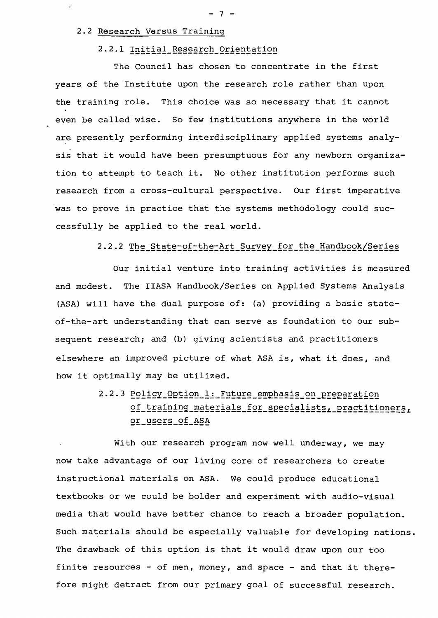# 2.2 Research Versus Training

#### 2.2.1 Initial Research Orientation

The Council has chosen to concentrate in the first years of the Institute upon the research role rather than upon the training role. This choice was so necessary that it cannot even be called wise. So few institutions anywhere in the world are presently performing interdisciplinary applied systems analysis that it would have been presumptuous for any newborn organization to attempt to teach it. No other institution performs such research from <sup>a</sup> cross-cultural perspective. Our first imperative was to prove in practice that the systems methodology could successfully be applied to the real world.

# 2.2.2 The State-of-the-Art Survey for the Handbook/Series

Our initial venture into training activities is measured and modest. The IIASA Handbook/Series on Applied Systems Analysis (ASA) will have the dual purpose of: (a) providing <sup>a</sup> basic stateof-the-art understanding that can serve as foundation to our subsequent research; and (b) giving scientists and practitioners elsewhere an improved picture of what ASA is, what it does, and how it optimally may be utilized.

# 2.2.3 Policy Option 1: Future emphasis on preparation of\_training\_materials\_for\_specialists,\_practitioners, or\_users\_of\_ASA

With our research program now well underway, we may now take advantage of our living core of researchers to create instructional materials on ASA. We could produce educational textbooks or we could be bolder and experiment with audio-visual media that would have better chance to reach <sup>a</sup> broader population. Such materials should be especially valuable for developing nations. The drawback of this option is that it would draw upon our too finite resources - of men, money, and space - and that it therefore might detract from our primary goal of successful research.

- 7 -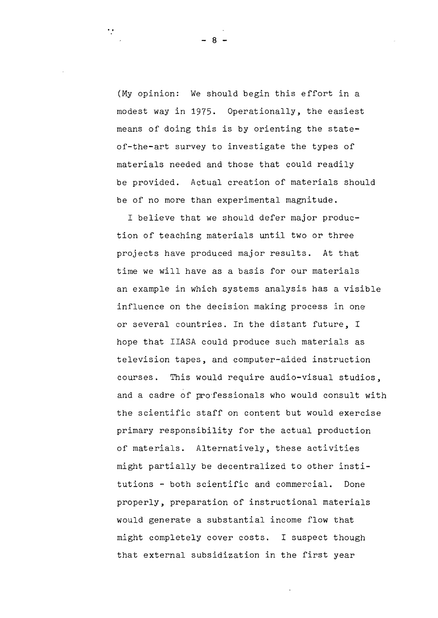(My opinion: We should begin this effort in <sup>a</sup> modest way in 1975. Operationally, the easiest means of doing this is by orienting the stateof-the-art survey to investigate the types of materials needed and those that could readily be provided. Actual creation of materials should be of no more than experimental magnitude.

I believe that we should defer major production of teaching materials until two or three projects have produced major results. At that time we will have as a basis for our materials an example in which systems analysis has <sup>a</sup> visible influence on the decision making process in one or several countries. In the distant future, I hope that IIASA could produce such materials as television tapes, and computer-aided instruction courses. This would require audio-visual studios, and a cadre of pro'fessionals who would consult with the scientific staff on content but would exercise primary responsibility for the actual production of materials. Alternatively, these activities might partially be decentralized to other institutions - both scientific and commercial. Done properly, preparation of instructional materials would generate a substantial income flow that might completely cover costs. I suspect though that external subsidization in the first year

- 8 -

·.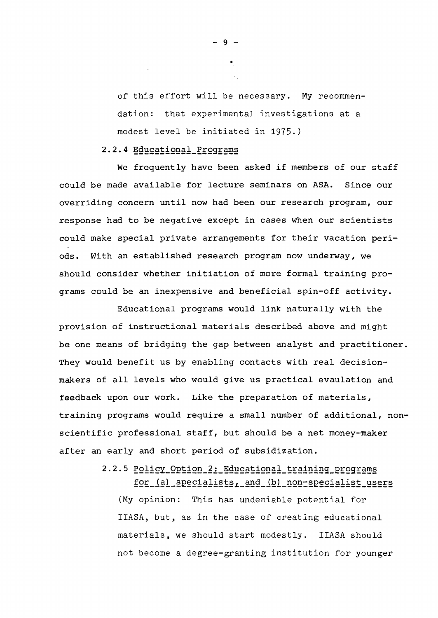of this effort will be necessary. My recommendation: that experimental investigations at a modest level be initiated in 1975.)

#### 2.2.4 Educational Programs

We frequently have been asked if members of our staff could be made available for lecture seminars on ASA. Since our overriding concern until now had been our research program, our response had to be negative except in cases when our scientists could make special private arrangements for their vacation periods. With an established research program now underway, we should consider whether initiation of more formal training programs could be an inexpensive and beneficial spin-off activity.

Educational programs would link naturally with the provision of instructional materials described above and might be one means of bridging the gap between analyst and practitioner. They would benefit us by enabling contacts with real decisionmakers of all levels who would give us practical evaulation and feedback upon our work. Like the preparation of materials, training programs would require <sup>a</sup> small number of additional, nonscientific professional staff, but should be <sup>a</sup> net money-maker after an early and short period of subsidization.

> 2.2.5 Policy\_Option\_2: Educational\_training\_programs for (a) specialists, and (b) non-specialist users (My opinion: This has undeniable potential for IIASA, but, as in the case of creating educational materials, we should start modestly. IIASA should not become <sup>a</sup> degree-granting institution for younger

- 9 -

•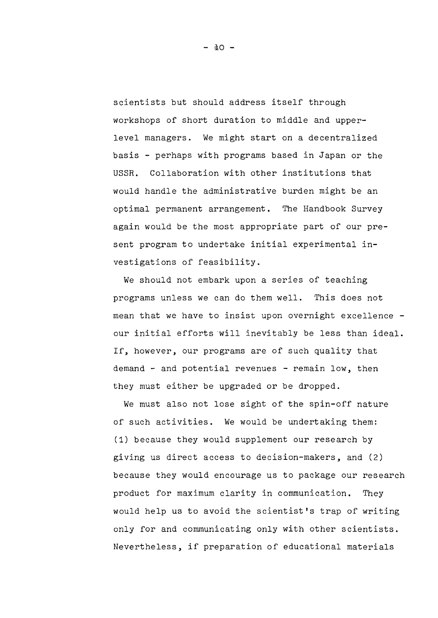scientists but should address itself through workshops of short duration to middle and upperlevel managers. We might start on a decentralized basis - perhaps with programs based in Japan or the USSR. Collaboration with other institutions that would handle the administrative burden might be an optimal permanent arrangement. The Handbook Survey again would be the most appropriate part of our present program to undertake initial experimental **in**vestigations of feasibility.

We should not embark upon a series of teaching programs unless we can do them well. This does not mean that we have to insist upon overnight excellence our initial efforts will inevitably be less than ideal. If, however, our programs are of such quality that demand - and potential revenues - remain low, then they must either be upgraded or be dropped.

We must also not lose sight of the spin-off nature of such activities. We would be undertaking them: (1) because they would supplement our research by giving us direct access to decision-makers, and (2) because they would encourage us to package our research product for maximum clarity in communication. They would help us to avoid the scientist's trap of writing only for and communicating only with other scientists. Nevertheless, if preparation of educational materials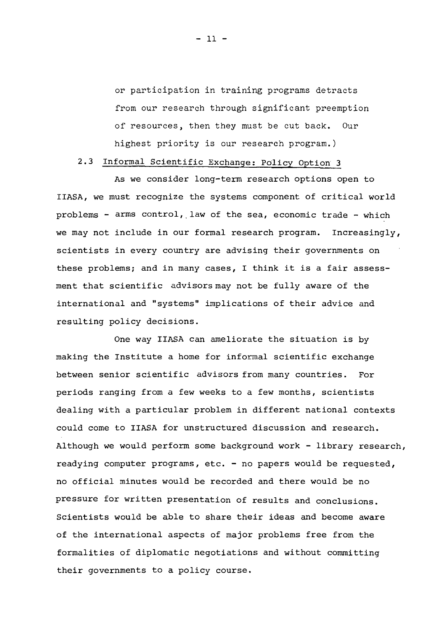or participation in training programs detracts from our research through significant preemption of resources, then they must be cut back. Our highest priority is our research program.)

# 2.3 Informal Scientific Exchange: Policy Option 3

As we consider long-term research options open to IIASA, we must recognize the systems component of critical world problems - arms control, law of the sea, economic trade - which we may not include in our formal research program. Increasingly, scientists in every country are advising their governments on these problems; and in many cases, <sup>I</sup> think it is <sup>a</sup> fair assessment that scientific advisors may not be fully aware of the international and "systems" implications of their advice and resulting policy decisions.

One way IIASA can ameliorate the situation is by making the Institute <sup>a</sup> home for informal scientific exchange between senior scientific advisors from many countries. For periods ranging from <sup>a</sup> few weeks to <sup>a</sup> few months, scientists dealing with <sup>a</sup> particular problem in different national contexts could come to IIASA for unstructured discussion and research. Although we would perform some background work - library research, readying computer programs, etc. - no papers would be requested, no official minutes would be recorded and there would be no pressure for written presentation of results and conclusions. Scientists would be able to share their ideas and become aware of the international aspects of major problems free from the formalities of diplomatic negotiations and without committing their governments to <sup>a</sup> policy course.

- 11 -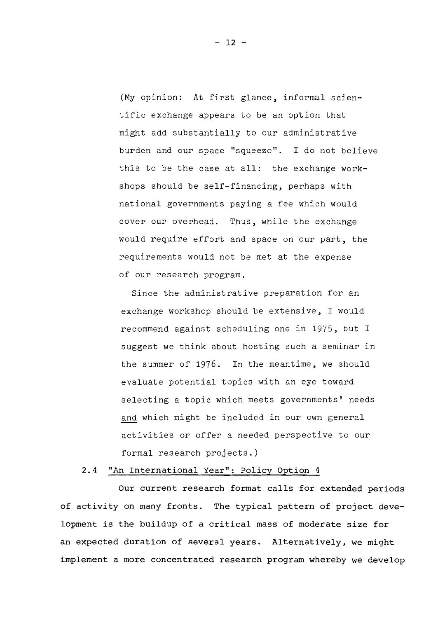(My opinion: At first glance, informal scientific exchange appears to be an option that might add substantially to our administrative burden and our space "squeeze". I do not believe this to be the case at all: the exchange workshops should be self-financing, perhaps with national governments paying a fee which would cover our overhead. Thus, while the exchange would require effort and space on our part, the requirements would not be met at the expense of our research program.

Since the administrative preparation for an exchange workshop should be extensive, I would recommend against scheduling one in 1975, but I suggest we think about hosting such a seminar in the summer of 1976. In the meantime, we should evaluate potential topics with an eye toward selecting a topic which meets governments' needs and which might be included in our own general activities or offer <sup>a</sup> needed perspective to our formal research projects.)

#### 2.4 "An International Year": Policy Option 4

Our current research format calls for extended periods of activity on many fronts. The typical pattern of project development is the buildup of <sup>a</sup> critical mass of moderate size for an expected duration of several years. Alternatively, we might implement a more concentrated research program whereby we develop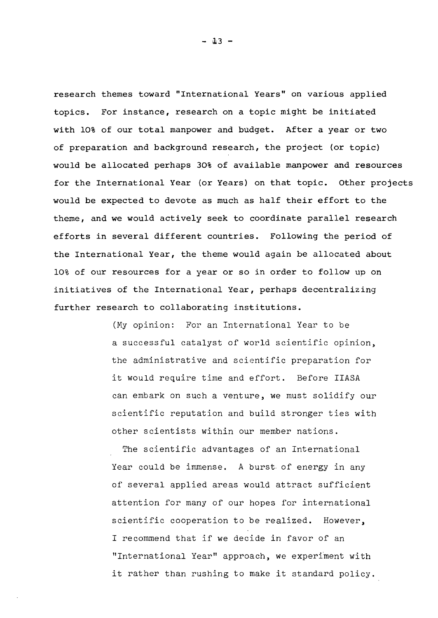research themes toward "International Years" on various applied topics. For instance, research on <sup>a</sup> topic might be initiated with 10% of our total manpower and budget. After <sup>a</sup> year or two of preparation and background research, the project (or topic) would be allocated perhaps 30% of available manpower and resources for the International Year (or Years) on that topic. Other projects would be expected to devote as much as half their effort to the theme, and we would actively seek to coordinate parallel research efforts in several different countries. Following the period of the International Year, the theme would again be allocated about 10% of our resources for a year or so in order to follow up on initiatives of the International Year, perhaps decentralizing further research to collaborating institutions.

> (My opinion: For an International Year to be <sup>a</sup> successful catalyst of world scientific opinion, the administrative and scientific preparation for it would require time and effort. Before IIASA can embark on such a venture, we must solidify our scientific reputation and build stronger ties with other scientists within our member nations.

> The scientific advantages of an International Year could be immense. A burst of energy in any of several applied areas would attract sufficient attention for many of our hopes for international scientific cooperation to be realized. However, <sup>I</sup> recommend that if we decide in favor of an "International Year" approach, we experiment with it rather than rushing to make it standard policy.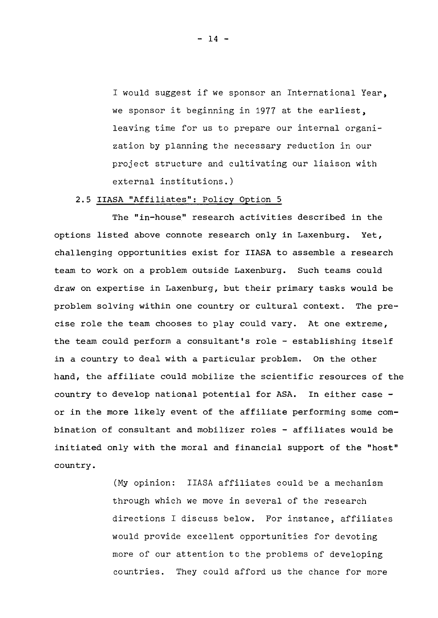<sup>I</sup> would suggest if we sponsor an International Year, we sponsor it beginning in <sup>1977</sup> at the earliest, leaving time for us to prepare our internal organization by planning the necessary reduction in our project structure and cUltivating our liaison with external institutions.)

#### 2.5 IIASA "Affiliates": Policy Option 5

The "in-house" research activities described in the options listed above connote research only in Laxenburg. Yet, challenging opportunities exist for IIASA to assemble <sup>a</sup> research team to work on a problem outside Laxenburg. Such teams could draw on expertise in Laxenburg, but their primary tasks would be problem solving within one country or cultural context. The precise role the team chooses to play could vary. At one extreme, the team could perform <sup>a</sup> consultant's role - establishing itself in <sup>a</sup> country to deal with <sup>a</sup> particular problem. On the other hand, the affiliate could mobilize the scientific resources of the country to develop national potential for ASA. In either case or in the more likely event of the affiliate performing some combination of consultant and mobilizer roles - affiliates would be initiated only with the moral and financial support of the "host" country.

> (My opinion: IIASA affiliates could be <sup>a</sup> mechanism through which we move in several of the research directions <sup>I</sup> discuss below. For instance, affiliates would provide excellent opportunities for devoting more of our attention to the problems of developing countries. They could afford us the chance for more

 $- 14 -$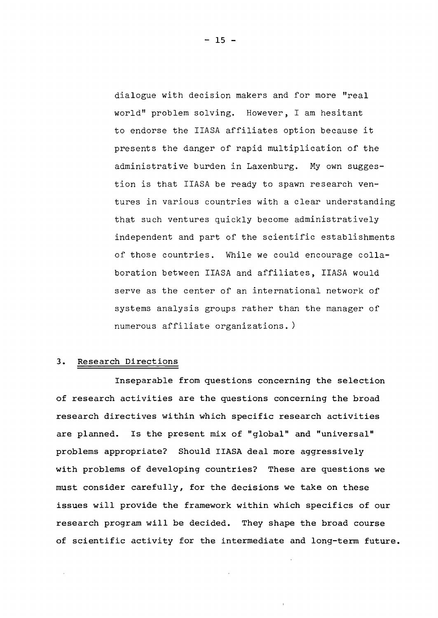dialogue with decision makers and for more "real world" problem solving. However, I am hesitant to endorse the IIASA affiliates option because it presents the danger of rapid multiplication of the administrative burden in Laxenburg. My own suggestion is that IIASA be ready to spawn research ventures in various countries with a clear understanding that such ventures quickly become administratively independent and part of the scientific establishments of those countries. While we could encourage collaboration between IIASA and affiliates, IIASA would serve as the center of an international network of systems analysis groups rather than the manager of numerous affiliate organizations. )

# **3. Research Directions**

**Inseparable from questions concerning the selection of research activities are the questions concerning the broad research directives within which specific research activities are planned. Is the present mix of "global" and "universal" problems appropriate? Should IIASA deal more aggressively with problems of developing countries? These are questions we must consider carefully, for the decisions we take on these issues will provide the framework within which specifics of our research program will be decided. They shape the broad course of scientific activity for the intermediate and long-term future.**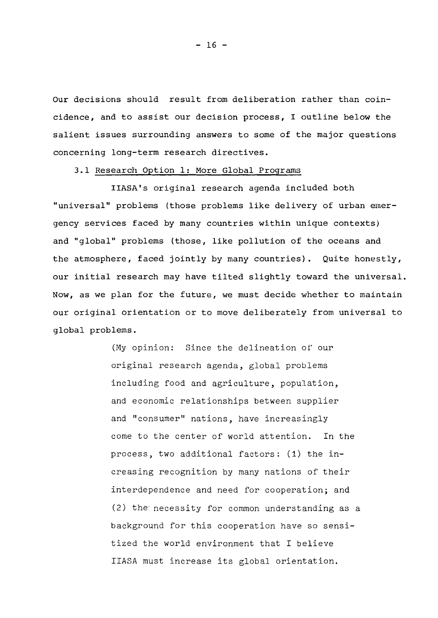Our decisions should result from deliberation rather than coincidence, and to assist our decision process, <sup>I</sup> outline below the salient issues surrounding answers to some of the major questions concerning long-term research directives.

#### 3.1 Research Option 1: More Global Programs

IIASA's original research agenda included both "universal" problems (those problems like delivery of urban emergency services faced by many countries within unique contexts) and "global" problems (those, like pollution of the oceans and the atmosphere, faced jointly by many countries). Quite honestly, our initial research may have tilted slightly toward the universal. Now, as we plan for the future, we must decide whether to maintain our original orientation or to move deliberately from universal to global problems.

> (My opinion: Since the delineation of our original research agenda, global problems including food and agriculture, population, and economic relationships between supplier and "consumer" nations, have increasingly come to the center of world attention. In the process, two additional factors: (1) the increasing recognition by many nations of their interdependence and need for cooperation; and  $(2)$  the necessity for common understanding as a background for this cooperation have so sensitized the world environment that I believe IIASA must increase its global orientation.

 $- 16 -$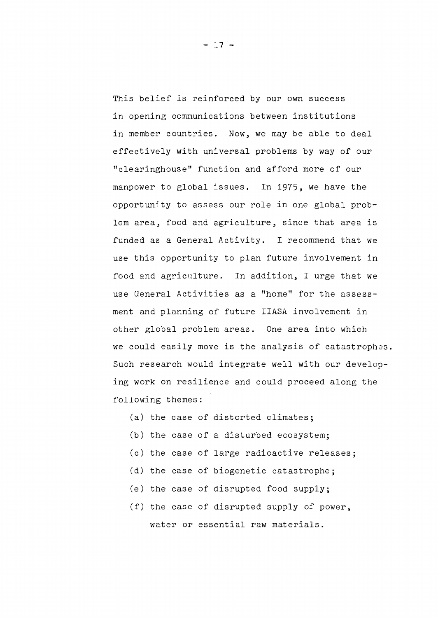This belief is reinforced by our own success in opening communications between institutions in member countries. Now, we may be able to deal effectively with universal problems by way of our "clearinghouse" function and afford more of our manpower to global issues. In 1975, we have the opportunity to assess our role in one global problem area, food and agriculture, since that area is funded as a General Activity. I recommend that we use this opportunity to plan future involvement in food and agriculture. In addition, I urge that we use General Activities as a "home" for the assessment and planning of future IIASA involvement in other global problem areas. One area into which we could easily move is the analysis of catastrophes. Such research would integrate well with our developing work on resilience and could proceed along the following themes:

- (a) the case of distorted climates;
- (b) the case of a disturbed ecosystem;
- (c) the case of large radioactive releases;
- (d) the case of biogenetic catastrophe;
- (e) the case of disrupted food supply;
- (f) the case of disrupted supply of power, water or essential raw materials.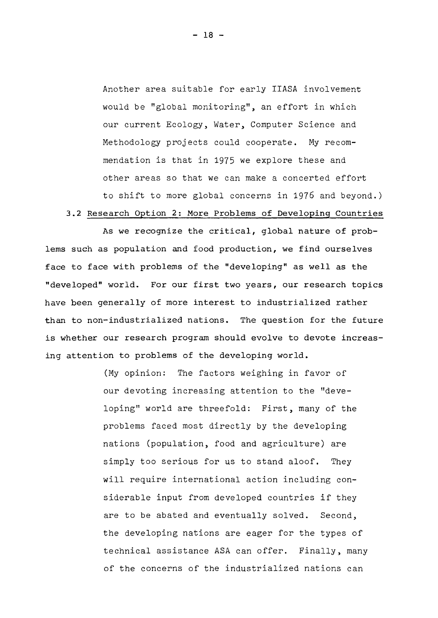Another area suitable for early IIASA involvement would be "global monitoring", an effort in which our current Ecology, Water, Computer Science and Methodology projects could cooperate. My recommendation is that in 1975 we explore these and other areas so that we can make <sup>a</sup> concerted effort to shift to more global concerns in 1976 and beyond.) 3.2 Research Option 2: More Problems of Developing Countries

As we recognize the critical, global nature of problems such as population and food production, we find ourselves face to face with problems of the "developing" as well as the "developed" world. For our first two years, our research topics have been generally of more interest to industrialized rather than to non-industrialized nations. The question for the future is whether our research program should evolve to devote increasing attention to problems of the developing world.

> (My opinion: The factors weighing in favor of our devoting increasing attention to the "developing" world are threefold: First, many of the problems faced most directly by the developing nations (population, food and agriculture) are simply too serious for us to stand aloof. They will require international action including considerable input from developed countries if they are to be abated and eventually solved. Second, the developing nations are eager for the types of technical assistance ASA can offer. Finally, many of the concerns of the industrialized nations can

 $- 18 -$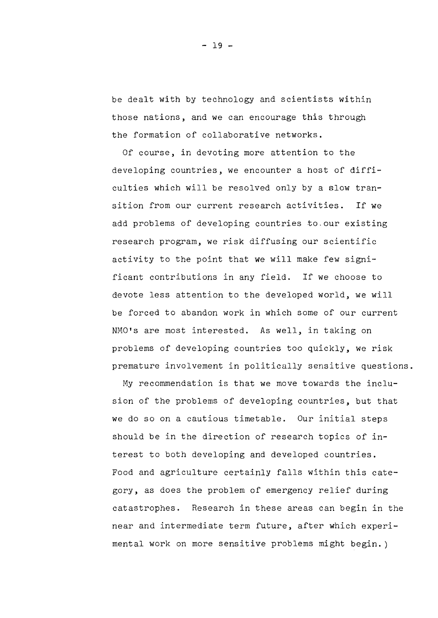be dealt with by technology and scientists within those nations, and we can encourage this through the formation of collaborative networks.

Of course, in devoting more attention to the developing countries, we encounter <sup>a</sup> host of difficulties which will be resolved only by <sup>a</sup> slow transition from our current research activities. If we add problems of developing countries to.our existing research program, we risk diffusing our scientific activity to the point that we will make few significant contributions in any field. If we choose to devote less attention to the developed world, we will be forced to abandon work in which some of our current NMO's are most interested. As well, in taking on problems of developing countries too quickly, we risk premature involvement in politically sensitive questions.

My recommendation is that we move towards the inclusion of the problems of developing countries, but that we do so on <sup>a</sup> cautious timetable. Our initial steps should be in the direction of research topics of interest to both developing and developed countries. Food and agriculture certainly falls within this category, as does the problem of emergency relief during catastrophes. Research in these areas can begin in the near and intermediate term future, after which experimental work on more sensitive problems might begin.)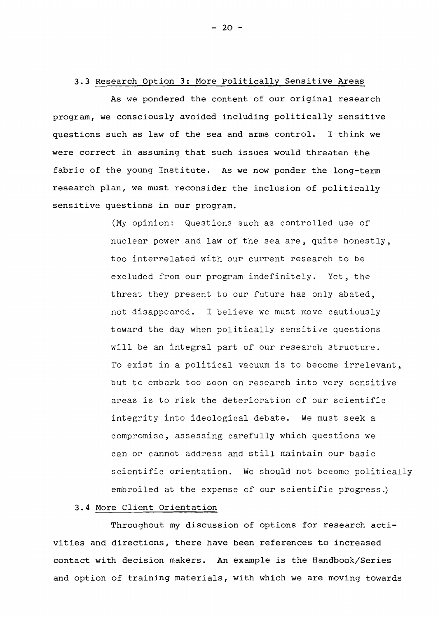#### 3.3 Research Option 3: More Politically Sensitive Areas

As we pondered the content of our original research program, we consciously avoided including politically sensitive questions such as law of the sea and arms control. I think we were correct in assuming that such issues would threaten the fabric of the young Institute. As we now ponder the long-term research plan, we must reconsider the inclusion of politically sensitive questions in our program.

> (My opinion: Questions such as controlled use of nuclear power and law of the sea are, quite honestly, too interrelated with our current research to be excluded from our program indefinitely. Yet, the threat they present to our future has only abated, not disappeared. I believe we must move cautiously toward the day when politically sensitive questions will be an integral part of our research structure. To exist in <sup>a</sup> political vacuum is to become irrelevant, but to embark too soon on research into very sensitive areas is to risk the deterioration of our scientific integrity into ideological debate. We must seek <sup>a</sup> compromise, assessing carefully which questions we can or cannot address and still maintain our basic scientific orientation. We should not become politically embroiled at the expense of our scientific progress.)

#### 3.4 More Client Orientation

Throughout my discussion of options for research activities and directions, there have been references to increased contact with decision makers. An example *is* the Handbook/Series and option of training materials, with which we are moving towards

 $- 20 -$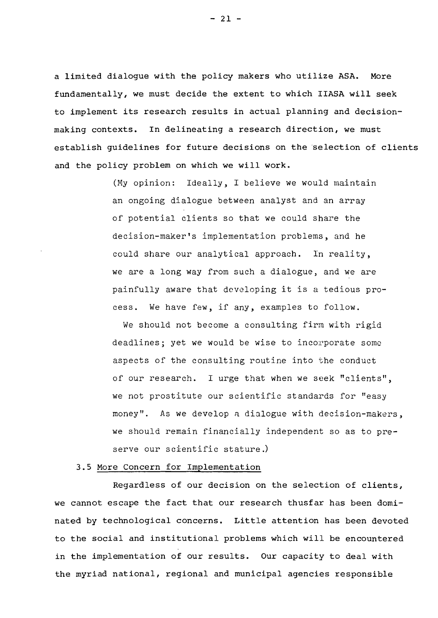<sup>a</sup> limited dialogue with the policy makers who utilize ASA. More fundamentally, we must decide the extent to which IIASA will seek to implement its research results in actual planning and decisionmaking contexts. In delineating a research direction, we must establish guidelines for future decisions on the selection of clients and the policy problem on which we will work.

> (My opinion: Ideally, I believe we would maintain an ongoing dialogue between analyst and an array of potential clients so that we could share the decision-maker's implementation problems, and he could share our analytical approach. In reality, we are a long way from such a dialogue, and we are painfully aware that developing it is a tedious process. We have few, if any, examples to follow.

We should not become <sup>a</sup> consulting firm with rigid deadlines; yet we would be wise to incorporate some aspects of the consulting routine into the conduct of our research. I urge that when we seek "clients", we not prostitute our scientific standards for "easy money". As we develop a dialogue with decision-makers, we should remain financially independent so as to preserve our scientific stature.)

#### 3.5 More Concern for Implementation

Regardless of our decision on the selection of clients, we cannot escape the fact that our research thusfar has been dominated by technological concerns. Little attention has been devoted to the social and institutional problems which will be encountered in the implementation of our results. Our capacity to deal with the myriad national, regional and municipal agencies responsible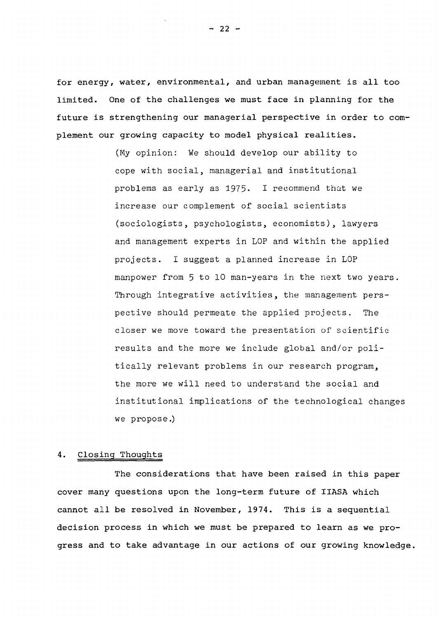for energy, water, environmental, and urban management is all too limited. One of the challenges we must face in planning for the future is strengthening our managerial perspective in order to complement our growing capacity to model physical realities.

> (My opinion: We should develop our ability to cope with social, managerial and institutional problems as early as 1975. I recommend that we increase our complement of social scientists (sociologists, psychologists, economists), lawyers and management experts in LOP and within the applied projects. I suggest a planned increase in LOP manpower from 5 to 10 man-years in the next two years. Through integrative activities, the management perspective should permeate the applied projects. The closer we move toward the presentation of scientific results and the more we include global and/or politically relevant problems in our research program, the more we will need to understand the social and institutional implications of the technological changes we propose.)

# 4. Closing Thoughts

The considerations that have been raised in this paper cover many questions upon the long-term future of IIASA which cannot all be resolved in November, 1974. This is <sup>a</sup> sequential decision process in which we must be prepared to learn as we progress and to take advantage in our actions of our growing knowledge.